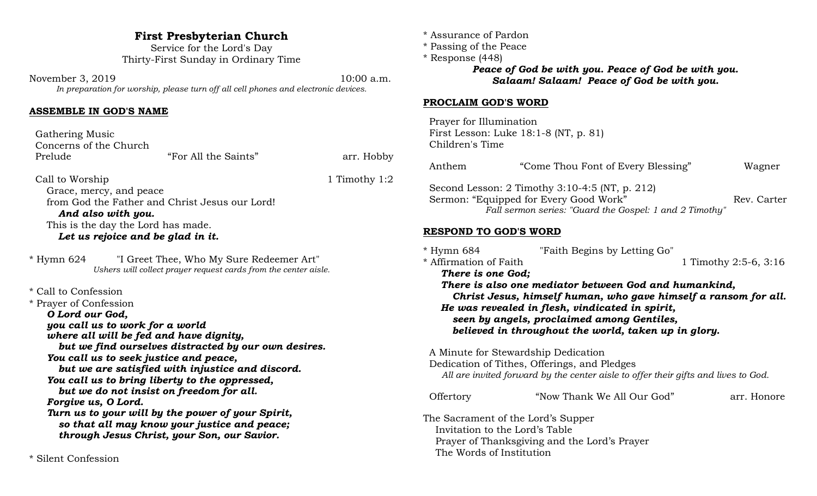# **First Presbyterian Church**

Service for the Lord's Day Thirty-First Sunday in Ordinary Time

November 3, 2019 10:00 a.m. *In preparation for worship, please turn off all cell phones and electronic devices.*

#### **ASSEMBLE IN GOD'S NAME**

| Gathering Music        |                      |            |
|------------------------|----------------------|------------|
| Concerns of the Church |                      |            |
| Prelude                | "For All the Saints" | arr. Hobby |
|                        |                      |            |

Call to Worship 1:2 Grace, mercy, and peace from God the Father and Christ Jesus our Lord! *And also with you.* This is the day the Lord has made. *Let us rejoice and be glad in it.*

\* Hymn 624 "I Greet Thee, Who My Sure Redeemer Art" *Ushers will collect prayer request cards from the center aisle.*

\* Call to Confession \* Prayer of Confession *O Lord our God, you call us to work for a world where all will be fed and have dignity, but we find ourselves distracted by our own desires. You call us to seek justice and peace, but we are satisfied with injustice and discord. You call us to bring liberty to the oppressed, but we do not insist on freedom for all. Forgive us, O Lord. Turn us to your will by the power of your Spirit, so that all may know your justice and peace; through Jesus Christ, your Son, our Savior.*

\* Silent Confession

- \* Assurance of Pardon
- \* Passing of the Peace
- \* Response (448) *Peace of God be with you. Peace of God be with you. Salaam! Salaam! Peace of God be with you.*

#### **PROCLAIM GOD'S WORD**

 Prayer for Illumination First Lesson: Luke 18:1-8 (NT, p. 81) Children's Time

| Anthem                                                                                           | "Come Thou Font of Every Blessing"                                                                                                                                                                                                                                                                                | Wagner                |
|--------------------------------------------------------------------------------------------------|-------------------------------------------------------------------------------------------------------------------------------------------------------------------------------------------------------------------------------------------------------------------------------------------------------------------|-----------------------|
|                                                                                                  | Second Lesson: $2$ Timothy $3:10-4:5$ (NT, p. 212)<br>Sermon: "Equipped for Every Good Work"<br>Fall sermon series: "Guard the Gospel: 1 and 2 Timothy"                                                                                                                                                           | Rev. Carter           |
| RESPOND TO GOD'S WORD                                                                            |                                                                                                                                                                                                                                                                                                                   |                       |
| * Hymn 684<br>* Affirmation of Faith<br>There is one God;                                        | "Faith Begins by Letting Go"<br>There is also one mediator between God and humankind,<br>Christ Jesus, himself human, who gave himself a ransom for all.<br>He was revealed in flesh, vindicated in spirit,<br>seen by angels, proclaimed among Gentiles,<br>believed in throughout the world, taken up in glory. | 1 Timothy 2:5-6, 3:16 |
|                                                                                                  | A Minute for Stewardship Dedication<br>Dedication of Tithes, Offerings, and Pledges<br>All are invited forward by the center aisle to offer their gifts and lives to God.                                                                                                                                         |                       |
| Offertory                                                                                        | "Now Thank We All Our God"                                                                                                                                                                                                                                                                                        | arr. Honore           |
| The Sacrament of the Lord's Supper<br>Invitation to the Lord's Table<br>The Words of Institution | Prayer of Thanksgiving and the Lord's Prayer                                                                                                                                                                                                                                                                      |                       |